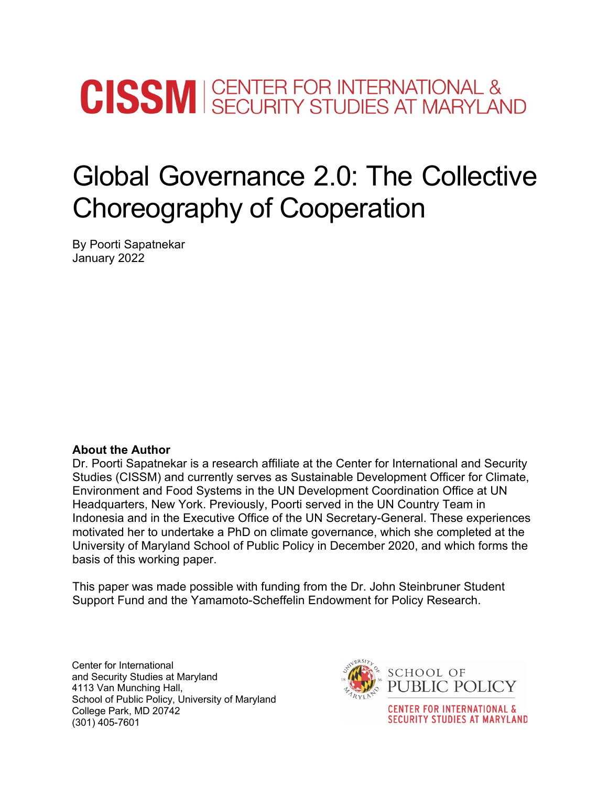# **CISSM** SECURITY STUDIES AT MARYLAND

# Global Governance 2.0: The Collective Choreography of Cooperation

By Poorti Sapatnekar January 2022

# **About the Author**

Dr. Poorti Sapatnekar is a research affiliate at the Center for International and Security Studies (CISSM) and currently serves as Sustainable Development Officer for Climate, Environment and Food Systems in the UN Development Coordination Office at UN Headquarters, New York. Previously, Poorti served in the UN Country Team in Indonesia and in the Executive Office of the UN Secretary-General. These experiences motivated her to undertake a PhD on climate governance, which she completed at the University of Maryland School of Public Policy in December 2020, and which forms the basis of this working paper.

This paper was made possible with funding from the Dr. John Steinbruner Student Support Fund and the Yamamoto-Scheffelin Endowment for Policy Research.

Center for International and Security Studies at Maryland 4113 Van Munching Hall, School of Public Policy, University of Maryland College Park, MD 20742 (301) 405-7601



**CENTER FOR INTERNATIONAL & SECURITY STUDIES AT MARYLAND**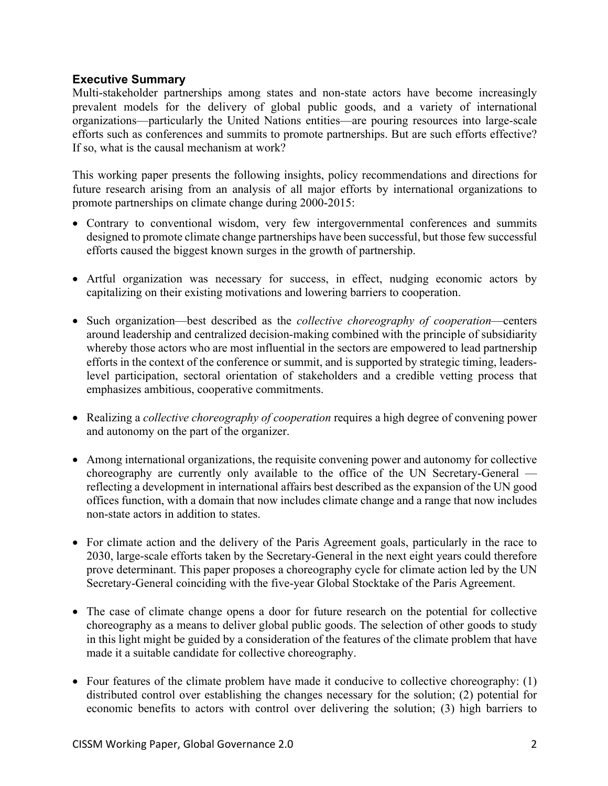# **Executive Summary**

Multi-stakeholder partnerships among states and non-state actors have become increasingly prevalent models for the delivery of global public goods, and a variety of international organizations—particularly the United Nations entities—are pouring resources into large-scale efforts such as conferences and summits to promote partnerships. But are such efforts effective? If so, what is the causal mechanism at work?

This working paper presents the following insights, policy recommendations and directions for future research arising from an analysis of all major efforts by international organizations to promote partnerships on climate change during 2000-2015:

- Contrary to conventional wisdom, very few intergovernmental conferences and summits designed to promote climate change partnerships have been successful, but those few successful efforts caused the biggest known surges in the growth of partnership.
- Artful organization was necessary for success, in effect, nudging economic actors by capitalizing on their existing motivations and lowering barriers to cooperation.
- Such organization—best described as the *collective choreography of cooperation*—centers around leadership and centralized decision-making combined with the principle of subsidiarity whereby those actors who are most influential in the sectors are empowered to lead partnership efforts in the context of the conference or summit, and is supported by strategic timing, leaderslevel participation, sectoral orientation of stakeholders and a credible vetting process that emphasizes ambitious, cooperative commitments.
- Realizing a *collective choreography of cooperation* requires a high degree of convening power and autonomy on the part of the organizer.
- Among international organizations, the requisite convening power and autonomy for collective choreography are currently only available to the office of the UN Secretary-General reflecting a development in international affairs best described as the expansion of the UN good offices function, with a domain that now includes climate change and a range that now includes non-state actors in addition to states.
- For climate action and the delivery of the Paris Agreement goals, particularly in the race to 2030, large-scale efforts taken by the Secretary-General in the next eight years could therefore prove determinant. This paper proposes a choreography cycle for climate action led by the UN Secretary-General coinciding with the five-year Global Stocktake of the Paris Agreement.
- The case of climate change opens a door for future research on the potential for collective choreography as a means to deliver global public goods. The selection of other goods to study in this light might be guided by a consideration of the features of the climate problem that have made it a suitable candidate for collective choreography.
- Four features of the climate problem have made it conducive to collective choreography: (1) distributed control over establishing the changes necessary for the solution; (2) potential for economic benefits to actors with control over delivering the solution; (3) high barriers to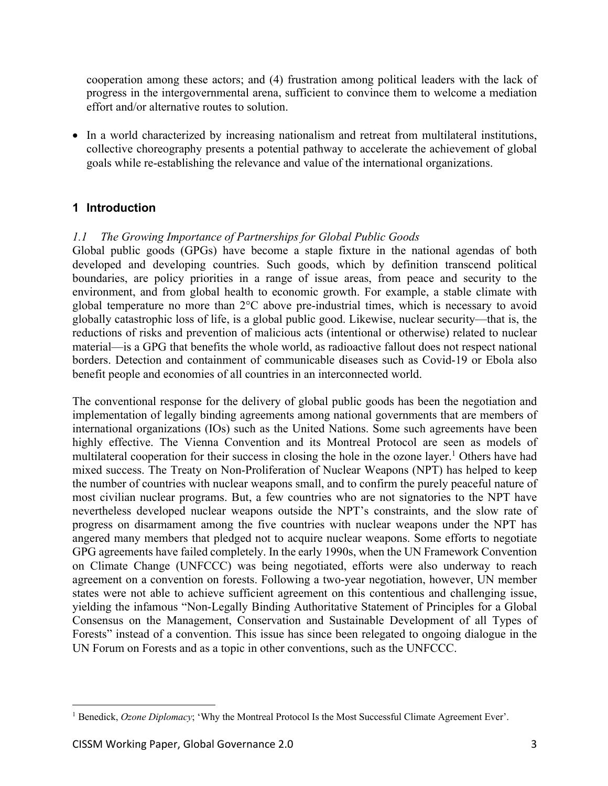cooperation among these actors; and (4) frustration among political leaders with the lack of progress in the intergovernmental arena, sufficient to convince them to welcome a mediation effort and/or alternative routes to solution.

• In a world characterized by increasing nationalism and retreat from multilateral institutions, collective choreography presents a potential pathway to accelerate the achievement of global goals while re-establishing the relevance and value of the international organizations.

# **1 Introduction**

# *1.1 The Growing Importance of Partnerships for Global Public Goods*

Global public goods (GPGs) have become a staple fixture in the national agendas of both developed and developing countries. Such goods, which by definition transcend political boundaries, are policy priorities in a range of issue areas, from peace and security to the environment, and from global health to economic growth. For example, a stable climate with global temperature no more than 2°C above pre-industrial times, which is necessary to avoid globally catastrophic loss of life, is a global public good. Likewise, nuclear security—that is, the reductions of risks and prevention of malicious acts (intentional or otherwise) related to nuclear material—is a GPG that benefits the whole world, as radioactive fallout does not respect national borders. Detection and containment of communicable diseases such as Covid-19 or Ebola also benefit people and economies of all countries in an interconnected world.

The conventional response for the delivery of global public goods has been the negotiation and implementation of legally binding agreements among national governments that are members of international organizations (IOs) such as the United Nations. Some such agreements have been highly effective. The Vienna Convention and its Montreal Protocol are seen as models of multilateral cooperation for their success in closing the hole in the ozone layer. <sup>1</sup> Others have had mixed success. The Treaty on Non-Proliferation of Nuclear Weapons (NPT) has helped to keep the number of countries with nuclear weapons small, and to confirm the purely peaceful nature of most civilian nuclear programs. But, a few countries who are not signatories to the NPT have nevertheless developed nuclear weapons outside the NPT's constraints, and the slow rate of progress on disarmament among the five countries with nuclear weapons under the NPT has angered many members that pledged not to acquire nuclear weapons. Some efforts to negotiate GPG agreements have failed completely. In the early 1990s, when the UN Framework Convention on Climate Change (UNFCCC) was being negotiated, efforts were also underway to reach agreement on a convention on forests. Following a two-year negotiation, however, UN member states were not able to achieve sufficient agreement on this contentious and challenging issue, yielding the infamous "Non-Legally Binding Authoritative Statement of Principles for a Global Consensus on the Management, Conservation and Sustainable Development of all Types of Forests" instead of a convention. This issue has since been relegated to ongoing dialogue in the UN Forum on Forests and as a topic in other conventions, such as the UNFCCC.

<sup>&</sup>lt;sup>1</sup> Benedick, *Ozone Diplomacy*; 'Why the Montreal Protocol Is the Most Successful Climate Agreement Ever'.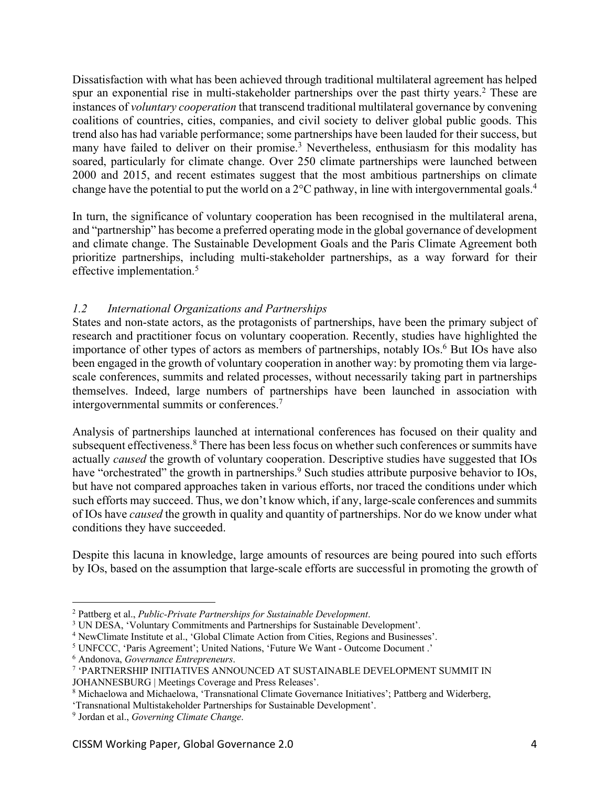Dissatisfaction with what has been achieved through traditional multilateral agreement has helped spur an exponential rise in multi-stakeholder partnerships over the past thirty years.<sup>2</sup> These are instances of *voluntary cooperation* that transcend traditional multilateral governance by convening coalitions of countries, cities, companies, and civil society to deliver global public goods. This trend also has had variable performance; some partnerships have been lauded for their success, but many have failed to deliver on their promise.<sup>3</sup> Nevertheless, enthusiasm for this modality has soared, particularly for climate change. Over 250 climate partnerships were launched between 2000 and 2015, and recent estimates suggest that the most ambitious partnerships on climate change have the potential to put the world on a  $2^{\circ}$ C pathway, in line with intergovernmental goals.<sup>4</sup>

In turn, the significance of voluntary cooperation has been recognised in the multilateral arena, and "partnership" has become a preferred operating mode in the global governance of development and climate change. The Sustainable Development Goals and the Paris Climate Agreement both prioritize partnerships, including multi-stakeholder partnerships, as a way forward for their effective implementation. 5

# *1.2 International Organizations and Partnerships*

States and non-state actors, as the protagonists of partnerships, have been the primary subject of research and practitioner focus on voluntary cooperation. Recently, studies have highlighted the importance of other types of actors as members of partnerships, notably IOs. <sup>6</sup> But IOs have also been engaged in the growth of voluntary cooperation in another way: by promoting them via largescale conferences, summits and related processes, without necessarily taking part in partnerships themselves. Indeed, large numbers of partnerships have been launched in association with intergovernmental summits or conferences.7

Analysis of partnerships launched at international conferences has focused on their quality and subsequent effectiveness.<sup>8</sup> There has been less focus on whether such conferences or summits have actually *caused* the growth of voluntary cooperation. Descriptive studies have suggested that IOs have "orchestrated" the growth in partnerships.<sup>9</sup> Such studies attribute purposive behavior to IOs, but have not compared approaches taken in various efforts, nor traced the conditions under which such efforts may succeed. Thus, we don't know which, if any, large-scale conferences and summits of IOs have *caused* the growth in quality and quantity of partnerships. Nor do we know under what conditions they have succeeded.

Despite this lacuna in knowledge, large amounts of resources are being poured into such efforts by IOs, based on the assumption that large-scale efforts are successful in promoting the growth of

<sup>2</sup> Pattberg et al., *Public-Private Partnerships for Sustainable Development*.

<sup>&</sup>lt;sup>3</sup> UN DESA, 'Voluntary Commitments and Partnerships for Sustainable Development'.

<sup>4</sup> NewClimate Institute et al., 'Global Climate Action from Cities, Regions and Businesses'.

<sup>5</sup> UNFCCC, 'Paris Agreement'; United Nations, 'Future We Want - Outcome Document .'

<sup>6</sup> Andonova, *Governance Entrepreneurs*.

<sup>7</sup> 'PARTNERSHIP INITIATIVES ANNOUNCED AT SUSTAINABLE DEVELOPMENT SUMMIT IN

JOHANNESBURG | Meetings Coverage and Press Releases'.

<sup>&</sup>lt;sup>8</sup> Michaelowa and Michaelowa, 'Transnational Climate Governance Initiatives'; Pattberg and Widerberg,

<sup>&#</sup>x27;Transnational Multistakeholder Partnerships for Sustainable Development'.

<sup>9</sup> Jordan et al., *Governing Climate Change*.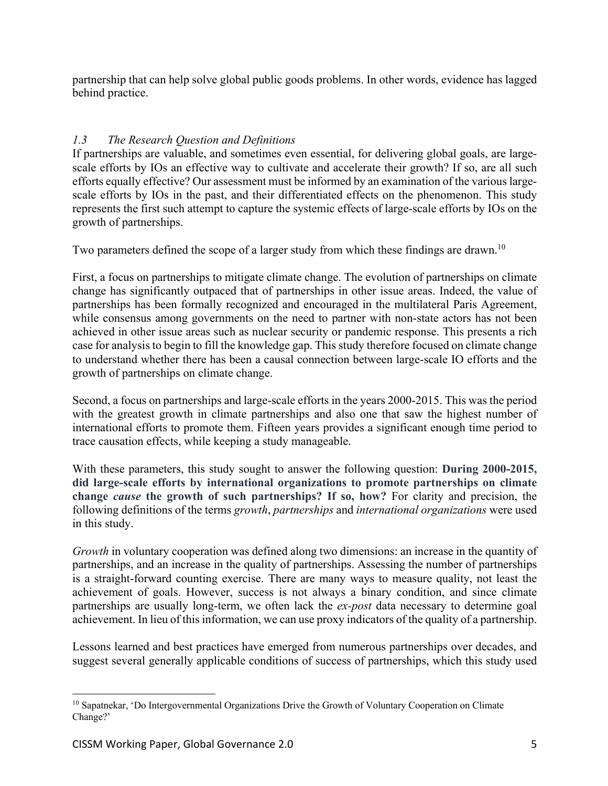partnership that can help solve global public goods problems. In other words, evidence has lagged behind practice.

# *1.3 The Research Question and Definitions*

If partnerships are valuable, and sometimes even essential, for delivering global goals, are largescale efforts by IOs an effective way to cultivate and accelerate their growth? If so, are all such efforts equally effective? Our assessment must be informed by an examination of the various largescale efforts by IOs in the past, and their differentiated effects on the phenomenon. This study represents the first such attempt to capture the systemic effects of large-scale efforts by IOs on the growth of partnerships.

Two parameters defined the scope of a larger study from which these findings are drawn.<sup>10</sup>

First, a focus on partnerships to mitigate climate change. The evolution of partnerships on climate change has significantly outpaced that of partnerships in other issue areas. Indeed, the value of partnerships has been formally recognized and encouraged in the multilateral Paris Agreement, while consensus among governments on the need to partner with non-state actors has not been achieved in other issue areas such as nuclear security or pandemic response. This presents a rich case for analysis to begin to fill the knowledge gap. This study therefore focused on climate change to understand whether there has been a causal connection between large-scale IO efforts and the growth of partnerships on climate change.

Second, a focus on partnerships and large-scale efforts in the years 2000-2015. This was the period with the greatest growth in climate partnerships and also one that saw the highest number of international efforts to promote them. Fifteen years provides a significant enough time period to trace causation effects, while keeping a study manageable.

With these parameters, this study sought to answer the following question: **During 2000-2015, did large-scale efforts by international organizations to promote partnerships on climate change** *cause* **the growth of such partnerships? If so, how?** For clarity and precision, the following definitions of the terms *growth*, *partnerships* and *international organizations* were used in this study.

*Growth* in voluntary cooperation was defined along two dimensions: an increase in the quantity of partnerships, and an increase in the quality of partnerships. Assessing the number of partnerships is a straight-forward counting exercise. There are many ways to measure quality, not least the achievement of goals. However, success is not always a binary condition, and since climate partnerships are usually long-term, we often lack the *ex-post* data necessary to determine goal achievement. In lieu of this information, we can use proxy indicators of the quality of a partnership.

Lessons learned and best practices have emerged from numerous partnerships over decades, and suggest several generally applicable conditions of success of partnerships, which this study used

<sup>&</sup>lt;sup>10</sup> Sapatnekar, 'Do Intergovernmental Organizations Drive the Growth of Voluntary Cooperation on Climate Change?'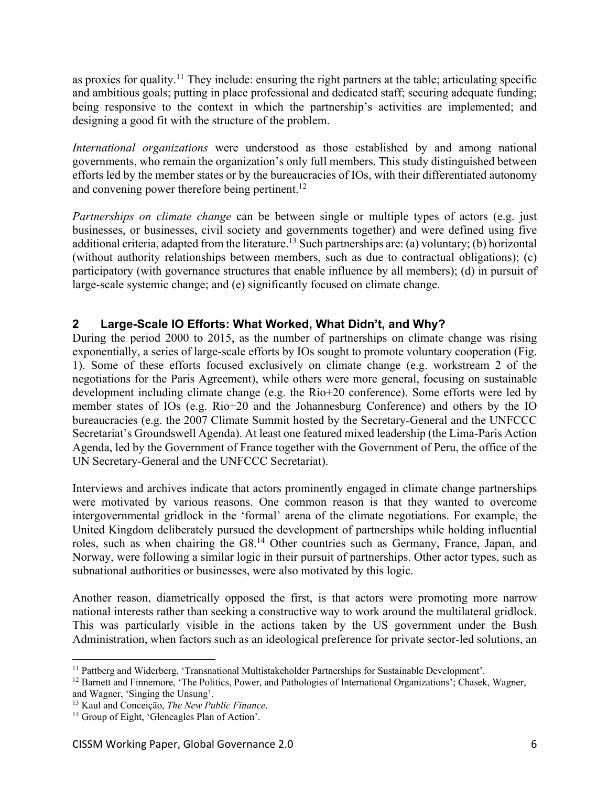as proxies for quality.<sup>11</sup> They include: ensuring the right partners at the table; articulating specific and ambitious goals; putting in place professional and dedicated staff; securing adequate funding; being responsive to the context in which the partnership's activities are implemented; and designing a good fit with the structure of the problem.

*International organizations* were understood as those established by and among national governments, who remain the organization's only full members. This study distinguished between efforts led by the member states or by the bureaucracies of IOs, with their differentiated autonomy and convening power therefore being pertinent.<sup>12</sup>

*Partnerships on climate change* can be between single or multiple types of actors (e.g. just businesses, or businesses, civil society and governments together) and were defined using five additional criteria, adapted from the literature.<sup>13</sup> Such partnerships are: (a) voluntary; (b) horizontal (without authority relationships between members, such as due to contractual obligations); (c) participatory (with governance structures that enable influence by all members); (d) in pursuit of large-scale systemic change; and (e) significantly focused on climate change.

# **2 Large-Scale IO Efforts: What Worked, What Didn't, and Why?**

During the period 2000 to 2015, as the number of partnerships on climate change was rising exponentially, a series of large-scale efforts by IOs sought to promote voluntary cooperation (Fig. 1). Some of these efforts focused exclusively on climate change (e.g. workstream 2 of the negotiations for the Paris Agreement), while others were more general, focusing on sustainable development including climate change (e.g. the Rio+20 conference). Some efforts were led by member states of IOs (e.g. Rio+20 and the Johannesburg Conference) and others by the IO bureaucracies (e.g. the 2007 Climate Summit hosted by the Secretary-General and the UNFCCC Secretariat's Groundswell Agenda). At least one featured mixed leadership (the Lima-Paris Action Agenda, led by the Government of France together with the Government of Peru, the office of the UN Secretary-General and the UNFCCC Secretariat).

Interviews and archives indicate that actors prominently engaged in climate change partnerships were motivated by various reasons. One common reason is that they wanted to overcome intergovernmental gridlock in the 'formal' arena of the climate negotiations. For example, the United Kingdom deliberately pursued the development of partnerships while holding influential roles, such as when chairing the G8.<sup>14</sup> Other countries such as Germany, France, Japan, and Norway, were following a similar logic in their pursuit of partnerships. Other actor types, such as subnational authorities or businesses, were also motivated by this logic.

Another reason, diametrically opposed the first, is that actors were promoting more narrow national interests rather than seeking a constructive way to work around the multilateral gridlock. This was particularly visible in the actions taken by the US government under the Bush Administration, when factors such as an ideological preference for private sector-led solutions, an

and Wagner, 'Singing the Unsung'.

<sup>&</sup>lt;sup>11</sup> Pattberg and Widerberg, 'Transnational Multistakeholder Partnerships for Sustainable Development'.

 $12$  Barnett and Finnemore, 'The Politics, Power, and Pathologies of International Organizations'; Chasek, Wagner,

<sup>13</sup> Kaul and Conceiçāo, *The New Public Finance*.

<sup>&</sup>lt;sup>14</sup> Group of Eight, 'Gleneagles Plan of Action'.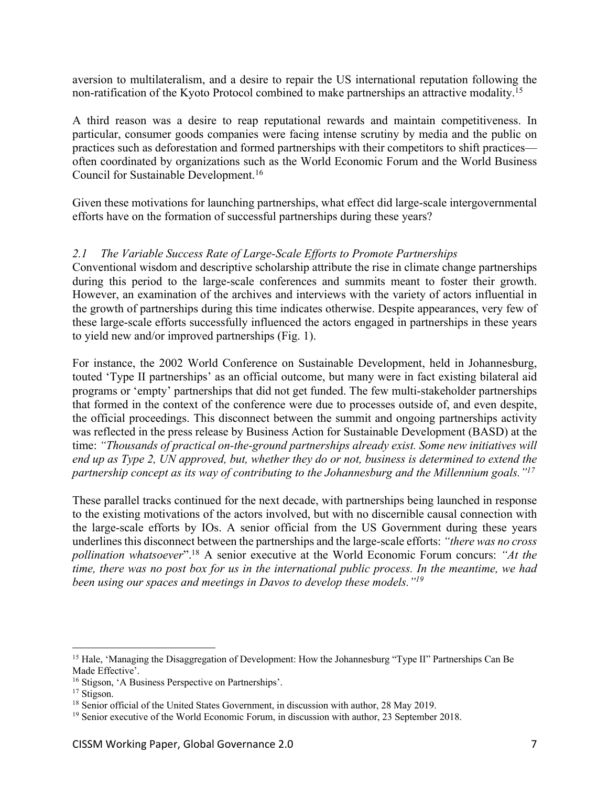aversion to multilateralism, and a desire to repair the US international reputation following the non-ratification of the Kyoto Protocol combined to make partnerships an attractive modality.15

A third reason was a desire to reap reputational rewards and maintain competitiveness. In particular, consumer goods companies were facing intense scrutiny by media and the public on practices such as deforestation and formed partnerships with their competitors to shift practices often coordinated by organizations such as the World Economic Forum and the World Business Council for Sustainable Development. 16

Given these motivations for launching partnerships, what effect did large-scale intergovernmental efforts have on the formation of successful partnerships during these years?

#### *2.1 The Variable Success Rate of Large-Scale Efforts to Promote Partnerships*

Conventional wisdom and descriptive scholarship attribute the rise in climate change partnerships during this period to the large-scale conferences and summits meant to foster their growth. However, an examination of the archives and interviews with the variety of actors influential in the growth of partnerships during this time indicates otherwise. Despite appearances, very few of these large-scale efforts successfully influenced the actors engaged in partnerships in these years to yield new and/or improved partnerships (Fig. 1).

For instance, the 2002 World Conference on Sustainable Development, held in Johannesburg, touted 'Type II partnerships' as an official outcome, but many were in fact existing bilateral aid programs or 'empty' partnerships that did not get funded. The few multi-stakeholder partnerships that formed in the context of the conference were due to processes outside of, and even despite, the official proceedings. This disconnect between the summit and ongoing partnerships activity was reflected in the press release by Business Action for Sustainable Development (BASD) at the time: *"Thousands of practical on-the-ground partnerships already exist. Some new initiatives will end up as Type 2, UN approved, but, whether they do or not, business is determined to extend the partnership concept as its way of contributing to the Johannesburg and the Millennium goals."17*

These parallel tracks continued for the next decade, with partnerships being launched in response to the existing motivations of the actors involved, but with no discernible causal connection with the large-scale efforts by IOs. A senior official from the US Government during these years underlinesthis disconnect between the partnerships and the large-scale efforts: *"there was no cross pollination whatsoever*".18 A senior executive at the World Economic Forum concurs: *"At the time, there was no post box for us in the international public process. In the meantime, we had been using our spaces and meetings in Davos to develop these models."19*

<sup>&</sup>lt;sup>15</sup> Hale, 'Managing the Disaggregation of Development: How the Johannesburg "Type II" Partnerships Can Be Made Effective'.

<sup>&</sup>lt;sup>16</sup> Stigson, 'A Business Perspective on Partnerships'.

<sup>&</sup>lt;sup>17</sup> Stigson.

<sup>&</sup>lt;sup>18</sup> Senior official of the United States Government, in discussion with author, 28 May 2019.

 $19$  Senior executive of the World Economic Forum, in discussion with author, 23 September 2018.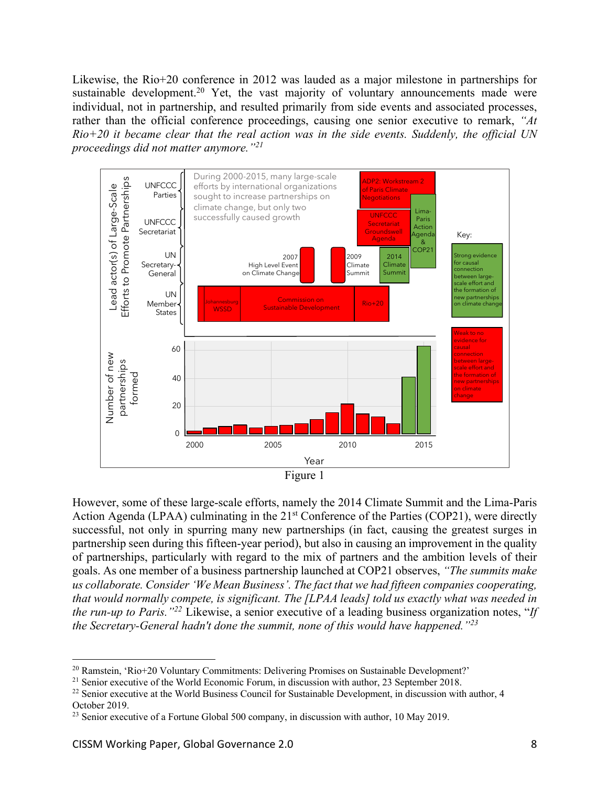Likewise, the Rio+20 conference in 2012 was lauded as a major milestone in partnerships for sustainable development.<sup>20</sup> Yet, the vast majority of voluntary announcements made were individual, not in partnership, and resulted primarily from side events and associated processes, rather than the official conference proceedings, causing one senior executive to remark, *"At Rio+20 it became clear that the real action was in the side events. Suddenly, the official UN proceedings did not matter anymore."21*



However, some of these large-scale efforts, namely the 2014 Climate Summit and the Lima-Paris Action Agenda (LPAA) culminating in the 21<sup>st</sup> Conference of the Parties (COP21), were directly successful, not only in spurring many new partnerships (in fact, causing the greatest surges in partnership seen during this fifteen-year period), but also in causing an improvement in the quality of partnerships, particularly with regard to the mix of partners and the ambition levels of their goals. As one member of a business partnership launched at COP21 observes, *"The summits make us collaborate. Consider 'We Mean Business'. The fact that we had fifteen companies cooperating, that would normally compete, is significant. The [LPAA leads] told us exactly what was needed in the run-up to Paris."22* Likewise, a senior executive of a leading business organization notes, "*If the Secretary-General hadn't done the summit, none of this would have happened."23*

<sup>&</sup>lt;sup>20</sup> Ramstein, 'Rio+20 Voluntary Commitments: Delivering Promises on Sustainable Development?'

<sup>&</sup>lt;sup>21</sup> Senior executive of the World Economic Forum, in discussion with author, 23 September 2018.

<sup>&</sup>lt;sup>22</sup> Senior executive at the World Business Council for Sustainable Development, in discussion with author, 4 October 2019.

 $^{23}$  Senior executive of a Fortune Global 500 company, in discussion with author, 10 May 2019.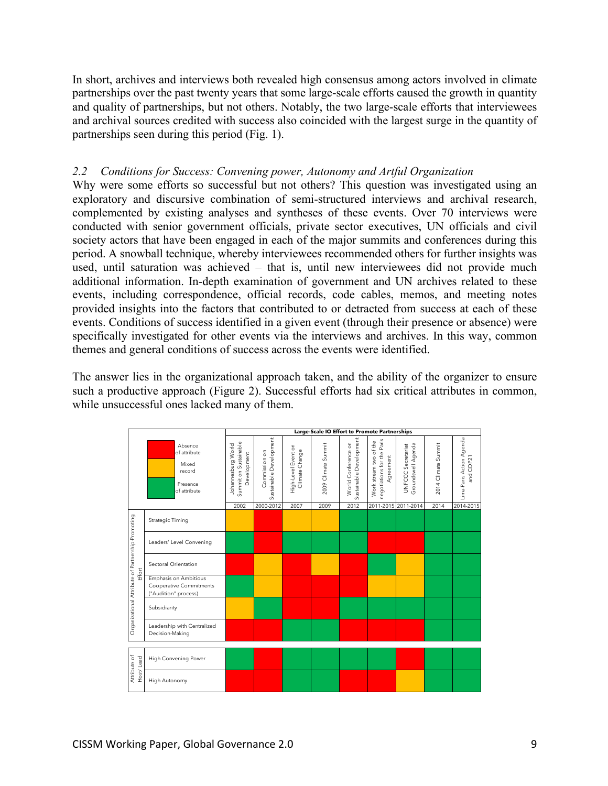In short, archives and interviews both revealed high consensus among actors involved in climate partnerships over the past twenty years that some large-scale efforts caused the growth in quantity and quality of partnerships, but not others. Notably, the two large-scale efforts that interviewees and archival sources credited with success also coincided with the largest surge in the quantity of partnerships seen during this period (Fig. 1).

#### *2.2 Conditions for Success: Convening power, Autonomy and Artful Organization*

Why were some efforts so successful but not others? This question was investigated using an exploratory and discursive combination of semi-structured interviews and archival research, complemented by existing analyses and syntheses of these events. Over 70 interviews were conducted with senior government officials, private sector executives, UN officials and civil society actors that have been engaged in each of the major summits and conferences during this period. A snowball technique, whereby interviewees recommended others for further insights was used, until saturation was achieved – that is, until new interviewees did not provide much additional information. In-depth examination of government and UN archives related to these events, including correspondence, official records, code cables, memos, and meeting notes provided insights into the factors that contributed to or detracted from success at each of these events. Conditions of success identified in a given event (through their presence or absence) were specifically investigated for other events via the interviews and archives. In this way, common themes and general conditions of success across the events were identified.

The answer lies in the organizational approach taken, and the ability of the organizer to ensure such a productive approach (Figure 2). Successful efforts had six critical attributes in common, while unsuccessful ones lacked many of them.

|                                                             |                                                                                 | Large-Scale IO Effort to Promote Partnerships              |                                          |                                       |                     |                                                |                                                                   |                                          |                     |                                       |
|-------------------------------------------------------------|---------------------------------------------------------------------------------|------------------------------------------------------------|------------------------------------------|---------------------------------------|---------------------|------------------------------------------------|-------------------------------------------------------------------|------------------------------------------|---------------------|---------------------------------------|
|                                                             | Absence<br>of attribute<br>Mixed<br>record<br>Presence<br>of attribute          | Summit on Sustainable<br>Johannesburg World<br>Development | Sustainable Development<br>Commission on | High-Level Event on<br>Climate Change | 2009 Climate Summit | Sustainable Development<br>World Conference on | negotiations for the Paris<br>Work stream two of the<br>Agreement | Groundswell Agenda<br>UNFCCC Secretariat | 2014 Climate Summit | Lima-Paris Action Agenda<br>and COP21 |
|                                                             |                                                                                 | 2002                                                       | 2000-2012                                | 2007                                  | 2009                | 2012                                           | 2011-2015 2011-2014                                               |                                          | 2014                | 2014-2015                             |
| Organizational Attribute of Partnership-Promoting<br>Effort | <b>Strategic Timing</b>                                                         |                                                            |                                          |                                       |                     |                                                |                                                                   |                                          |                     |                                       |
|                                                             | Leaders' Level Convening                                                        |                                                            |                                          |                                       |                     |                                                |                                                                   |                                          |                     |                                       |
|                                                             | Sectoral Orientation                                                            |                                                            |                                          |                                       |                     |                                                |                                                                   |                                          |                     |                                       |
|                                                             | <b>Emphasis on Ambitious</b><br>Cooperative Commitments<br>("Audition" process) |                                                            |                                          |                                       |                     |                                                |                                                                   |                                          |                     |                                       |
|                                                             | Subsidiarity                                                                    |                                                            |                                          |                                       |                     |                                                |                                                                   |                                          |                     |                                       |
|                                                             | Leadership with Centralized<br>Decision-Making                                  |                                                            |                                          |                                       |                     |                                                |                                                                   |                                          |                     |                                       |
|                                                             |                                                                                 |                                                            |                                          |                                       |                     |                                                |                                                                   |                                          |                     |                                       |
| Attribute of<br>Host/Lead                                   | High Convening Power                                                            |                                                            |                                          |                                       |                     |                                                |                                                                   |                                          |                     |                                       |
|                                                             | High Autonomy                                                                   |                                                            |                                          |                                       |                     |                                                |                                                                   |                                          |                     |                                       |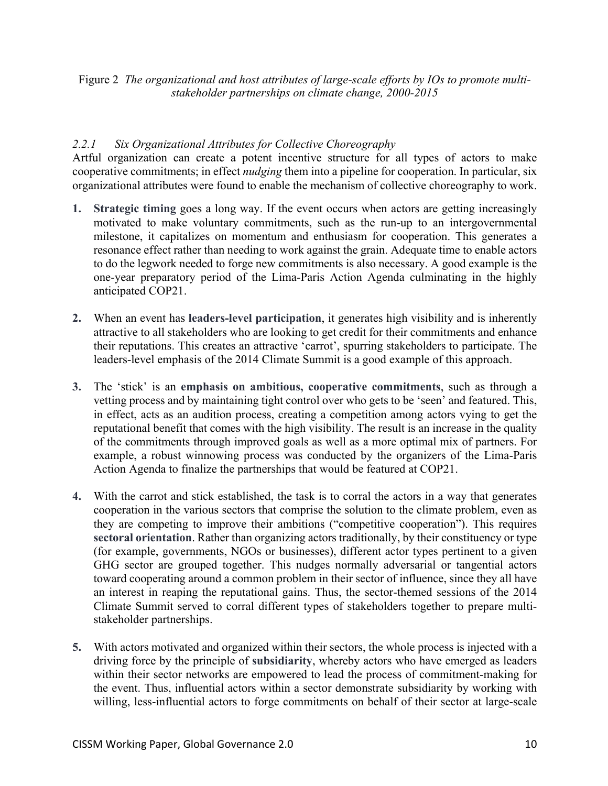Figure 2 *The organizational and host attributes of large-scale efforts by IOs to promote multistakeholder partnerships on climate change, 2000-2015*

# *2.2.1 Six Organizational Attributes for Collective Choreography*

Artful organization can create a potent incentive structure for all types of actors to make cooperative commitments; in effect *nudging* them into a pipeline for cooperation. In particular, six organizational attributes were found to enable the mechanism of collective choreography to work.

- **1. Strategic timing** goes a long way. If the event occurs when actors are getting increasingly motivated to make voluntary commitments, such as the run-up to an intergovernmental milestone, it capitalizes on momentum and enthusiasm for cooperation. This generates a resonance effect rather than needing to work against the grain. Adequate time to enable actors to do the legwork needed to forge new commitments is also necessary. A good example is the one-year preparatory period of the Lima-Paris Action Agenda culminating in the highly anticipated COP21.
- **2.** When an event has **leaders-level participation**, it generates high visibility and is inherently attractive to all stakeholders who are looking to get credit for their commitments and enhance their reputations. This creates an attractive 'carrot', spurring stakeholders to participate. The leaders-level emphasis of the 2014 Climate Summit is a good example of this approach.
- **3.** The 'stick' is an **emphasis on ambitious, cooperative commitments**, such as through a vetting process and by maintaining tight control over who gets to be 'seen' and featured. This, in effect, acts as an audition process, creating a competition among actors vying to get the reputational benefit that comes with the high visibility. The result is an increase in the quality of the commitments through improved goals as well as a more optimal mix of partners. For example, a robust winnowing process was conducted by the organizers of the Lima-Paris Action Agenda to finalize the partnerships that would be featured at COP21.
- **4.** With the carrot and stick established, the task is to corral the actors in a way that generates cooperation in the various sectors that comprise the solution to the climate problem, even as they are competing to improve their ambitions ("competitive cooperation"). This requires **sectoral orientation**. Rather than organizing actors traditionally, by their constituency or type (for example, governments, NGOs or businesses), different actor types pertinent to a given GHG sector are grouped together. This nudges normally adversarial or tangential actors toward cooperating around a common problem in their sector of influence, since they all have an interest in reaping the reputational gains. Thus, the sector-themed sessions of the 2014 Climate Summit served to corral different types of stakeholders together to prepare multistakeholder partnerships.
- **5.** With actors motivated and organized within their sectors, the whole process is injected with a driving force by the principle of **subsidiarity**, whereby actors who have emerged as leaders within their sector networks are empowered to lead the process of commitment-making for the event. Thus, influential actors within a sector demonstrate subsidiarity by working with willing, less-influential actors to forge commitments on behalf of their sector at large-scale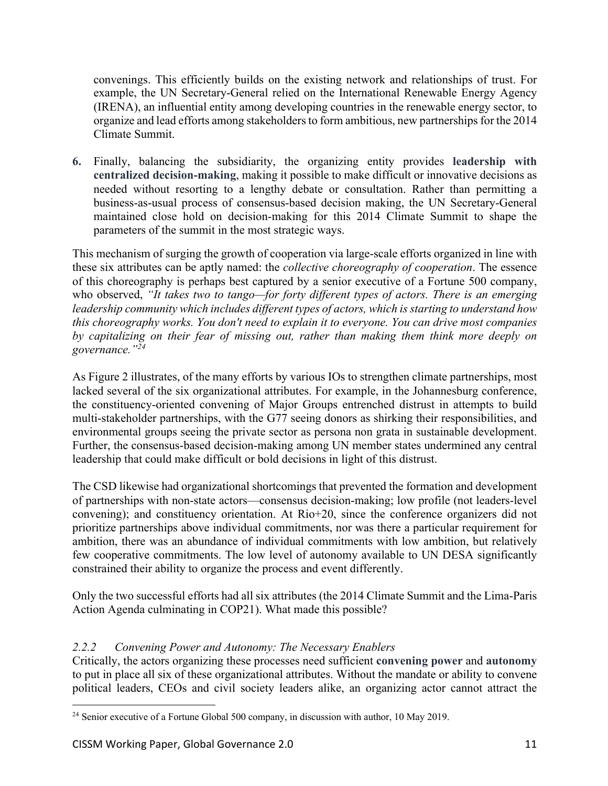convenings. This efficiently builds on the existing network and relationships of trust. For example, the UN Secretary-General relied on the International Renewable Energy Agency (IRENA), an influential entity among developing countries in the renewable energy sector, to organize and lead efforts among stakeholders to form ambitious, new partnerships for the 2014 Climate Summit.

**6.** Finally, balancing the subsidiarity, the organizing entity provides **leadership with centralized decision-making**, making it possible to make difficult or innovative decisions as needed without resorting to a lengthy debate or consultation. Rather than permitting a business-as-usual process of consensus-based decision making, the UN Secretary-General maintained close hold on decision-making for this 2014 Climate Summit to shape the parameters of the summit in the most strategic ways.

This mechanism of surging the growth of cooperation via large-scale efforts organized in line with these six attributes can be aptly named: the *collective choreography of cooperation*. The essence of this choreography is perhaps best captured by a senior executive of a Fortune 500 company, who observed, *"It takes two to tango—for forty different types of actors. There is an emerging leadership community which includes different types of actors, which is starting to understand how this choreography works. You don't need to explain it to everyone. You can drive most companies by capitalizing on their fear of missing out, rather than making them think more deeply on governance."24*

As Figure 2 illustrates, of the many efforts by various IOs to strengthen climate partnerships, most lacked several of the six organizational attributes. For example, in the Johannesburg conference, the constituency-oriented convening of Major Groups entrenched distrust in attempts to build multi-stakeholder partnerships, with the G77 seeing donors as shirking their responsibilities, and environmental groups seeing the private sector as persona non grata in sustainable development. Further, the consensus-based decision-making among UN member states undermined any central leadership that could make difficult or bold decisions in light of this distrust.

The CSD likewise had organizational shortcomings that prevented the formation and development of partnerships with non-state actors—consensus decision-making; low profile (not leaders-level convening); and constituency orientation. At Rio+20, since the conference organizers did not prioritize partnerships above individual commitments, nor was there a particular requirement for ambition, there was an abundance of individual commitments with low ambition, but relatively few cooperative commitments. The low level of autonomy available to UN DESA significantly constrained their ability to organize the process and event differently.

Only the two successful efforts had all six attributes (the 2014 Climate Summit and the Lima-Paris Action Agenda culminating in COP21). What made this possible?

# *2.2.2 Convening Power and Autonomy: The Necessary Enablers*

Critically, the actors organizing these processes need sufficient **convening power** and **autonomy**  to put in place all six of these organizational attributes. Without the mandate or ability to convene political leaders, CEOs and civil society leaders alike, an organizing actor cannot attract the

 $24$  Senior executive of a Fortune Global 500 company, in discussion with author, 10 May 2019.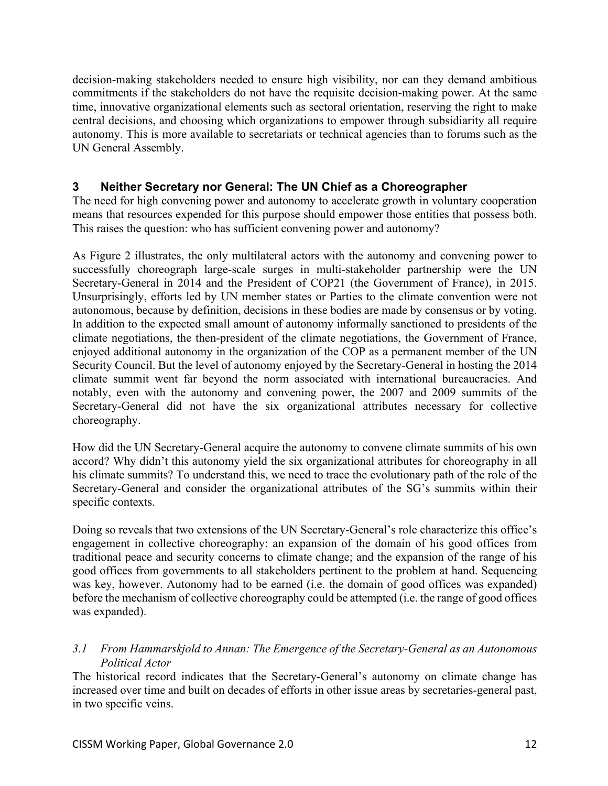decision-making stakeholders needed to ensure high visibility, nor can they demand ambitious commitments if the stakeholders do not have the requisite decision-making power. At the same time, innovative organizational elements such as sectoral orientation, reserving the right to make central decisions, and choosing which organizations to empower through subsidiarity all require autonomy. This is more available to secretariats or technical agencies than to forums such as the UN General Assembly.

# **3 Neither Secretary nor General: The UN Chief as a Choreographer**

The need for high convening power and autonomy to accelerate growth in voluntary cooperation means that resources expended for this purpose should empower those entities that possess both. This raises the question: who has sufficient convening power and autonomy?

As Figure 2 illustrates, the only multilateral actors with the autonomy and convening power to successfully choreograph large-scale surges in multi-stakeholder partnership were the UN Secretary-General in 2014 and the President of COP21 (the Government of France), in 2015. Unsurprisingly, efforts led by UN member states or Parties to the climate convention were not autonomous, because by definition, decisions in these bodies are made by consensus or by voting. In addition to the expected small amount of autonomy informally sanctioned to presidents of the climate negotiations, the then-president of the climate negotiations, the Government of France, enjoyed additional autonomy in the organization of the COP as a permanent member of the UN Security Council. But the level of autonomy enjoyed by the Secretary-General in hosting the 2014 climate summit went far beyond the norm associated with international bureaucracies. And notably, even with the autonomy and convening power, the 2007 and 2009 summits of the Secretary-General did not have the six organizational attributes necessary for collective choreography.

How did the UN Secretary-General acquire the autonomy to convene climate summits of his own accord? Why didn't this autonomy yield the six organizational attributes for choreography in all his climate summits? To understand this, we need to trace the evolutionary path of the role of the Secretary-General and consider the organizational attributes of the SG's summits within their specific contexts.

Doing so reveals that two extensions of the UN Secretary-General's role characterize this office's engagement in collective choreography: an expansion of the domain of his good offices from traditional peace and security concerns to climate change; and the expansion of the range of his good offices from governments to all stakeholders pertinent to the problem at hand. Sequencing was key, however. Autonomy had to be earned (i.e. the domain of good offices was expanded) before the mechanism of collective choreography could be attempted (i.e. the range of good offices was expanded).

# *3.1 From Hammarskjold to Annan: The Emergence of the Secretary-General as an Autonomous Political Actor*

The historical record indicates that the Secretary-General's autonomy on climate change has increased over time and built on decades of efforts in other issue areas by secretaries-general past, in two specific veins.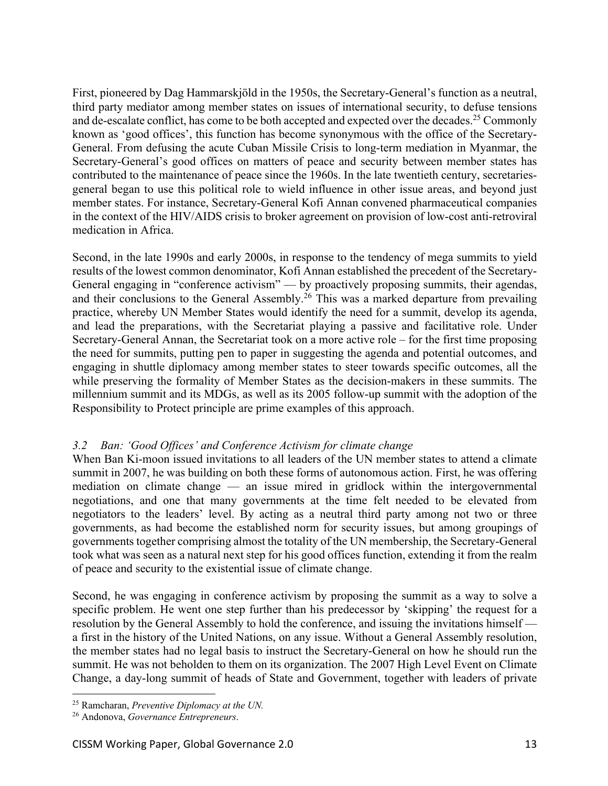First, pioneered by Dag Hammarskjöld in the 1950s, the Secretary-General's function as a neutral, third party mediator among member states on issues of international security, to defuse tensions and de-escalate conflict, has come to be both accepted and expected over the decades.<sup>25</sup> Commonly known as 'good offices', this function has become synonymous with the office of the Secretary-General. From defusing the acute Cuban Missile Crisis to long-term mediation in Myanmar, the Secretary-General's good offices on matters of peace and security between member states has contributed to the maintenance of peace since the 1960s. In the late twentieth century, secretariesgeneral began to use this political role to wield influence in other issue areas, and beyond just member states. For instance, Secretary-General Kofi Annan convened pharmaceutical companies in the context of the HIV/AIDS crisis to broker agreement on provision of low-cost anti-retroviral medication in Africa.

Second, in the late 1990s and early 2000s, in response to the tendency of mega summits to yield results of the lowest common denominator, Kofi Annan established the precedent of the Secretary-General engaging in "conference activism" — by proactively proposing summits, their agendas, and their conclusions to the General Assembly.<sup>26</sup> This was a marked departure from prevailing practice, whereby UN Member States would identify the need for a summit, develop its agenda, and lead the preparations, with the Secretariat playing a passive and facilitative role. Under Secretary-General Annan, the Secretariat took on a more active role – for the first time proposing the need for summits, putting pen to paper in suggesting the agenda and potential outcomes, and engaging in shuttle diplomacy among member states to steer towards specific outcomes, all the while preserving the formality of Member States as the decision-makers in these summits. The millennium summit and its MDGs, as well as its 2005 follow-up summit with the adoption of the Responsibility to Protect principle are prime examples of this approach.

# *3.2 Ban: 'Good Offices' and Conference Activism for climate change*

When Ban Ki-moon issued invitations to all leaders of the UN member states to attend a climate summit in 2007, he was building on both these forms of autonomous action. First, he was offering mediation on climate change — an issue mired in gridlock within the intergovernmental negotiations, and one that many governments at the time felt needed to be elevated from negotiators to the leaders' level. By acting as a neutral third party among not two or three governments, as had become the established norm for security issues, but among groupings of governments together comprising almost the totality of the UN membership, the Secretary-General took what was seen as a natural next step for his good offices function, extending it from the realm of peace and security to the existential issue of climate change.

Second, he was engaging in conference activism by proposing the summit as a way to solve a specific problem. He went one step further than his predecessor by 'skipping' the request for a resolution by the General Assembly to hold the conference, and issuing the invitations himself a first in the history of the United Nations, on any issue. Without a General Assembly resolution, the member states had no legal basis to instruct the Secretary-General on how he should run the summit. He was not beholden to them on its organization. The 2007 High Level Event on Climate Change, a day-long summit of heads of State and Government, together with leaders of private

<sup>25</sup> Ramcharan, *Preventive Diplomacy at the UN.*

<sup>26</sup> Andonova, *Governance Entrepreneurs*.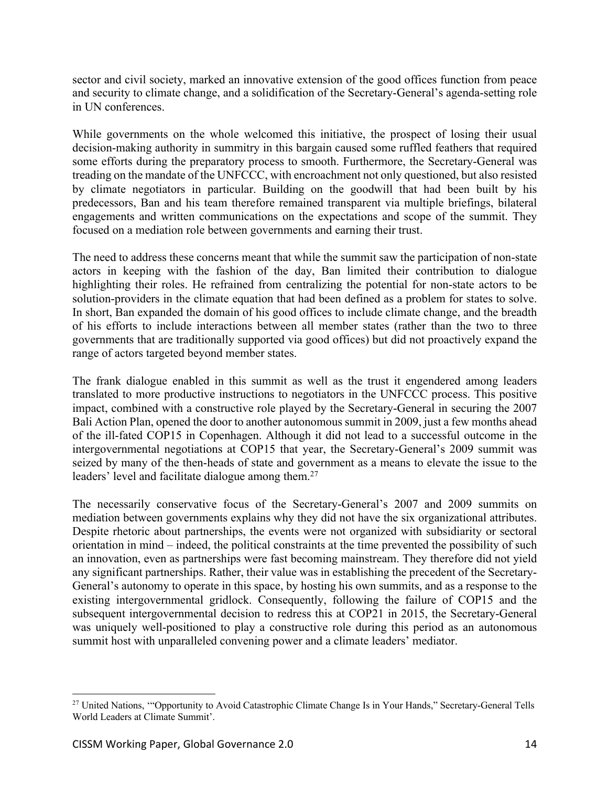sector and civil society, marked an innovative extension of the good offices function from peace and security to climate change, and a solidification of the Secretary-General's agenda-setting role in UN conferences.

While governments on the whole welcomed this initiative, the prospect of losing their usual decision-making authority in summitry in this bargain caused some ruffled feathers that required some efforts during the preparatory process to smooth. Furthermore, the Secretary-General was treading on the mandate of the UNFCCC, with encroachment not only questioned, but also resisted by climate negotiators in particular. Building on the goodwill that had been built by his predecessors, Ban and his team therefore remained transparent via multiple briefings, bilateral engagements and written communications on the expectations and scope of the summit. They focused on a mediation role between governments and earning their trust.

The need to address these concerns meant that while the summit saw the participation of non-state actors in keeping with the fashion of the day, Ban limited their contribution to dialogue highlighting their roles. He refrained from centralizing the potential for non-state actors to be solution-providers in the climate equation that had been defined as a problem for states to solve. In short, Ban expanded the domain of his good offices to include climate change, and the breadth of his efforts to include interactions between all member states (rather than the two to three governments that are traditionally supported via good offices) but did not proactively expand the range of actors targeted beyond member states.

The frank dialogue enabled in this summit as well as the trust it engendered among leaders translated to more productive instructions to negotiators in the UNFCCC process. This positive impact, combined with a constructive role played by the Secretary-General in securing the 2007 Bali Action Plan, opened the door to another autonomous summit in 2009, just a few months ahead of the ill-fated COP15 in Copenhagen. Although it did not lead to a successful outcome in the intergovernmental negotiations at COP15 that year, the Secretary-General's 2009 summit was seized by many of the then-heads of state and government as a means to elevate the issue to the leaders' level and facilitate dialogue among them.<sup>27</sup>

The necessarily conservative focus of the Secretary-General's 2007 and 2009 summits on mediation between governments explains why they did not have the six organizational attributes. Despite rhetoric about partnerships, the events were not organized with subsidiarity or sectoral orientation in mind – indeed, the political constraints at the time prevented the possibility of such an innovation, even as partnerships were fast becoming mainstream. They therefore did not yield any significant partnerships. Rather, their value was in establishing the precedent of the Secretary-General's autonomy to operate in this space, by hosting his own summits, and as a response to the existing intergovernmental gridlock. Consequently, following the failure of COP15 and the subsequent intergovernmental decision to redress this at COP21 in 2015, the Secretary-General was uniquely well-positioned to play a constructive role during this period as an autonomous summit host with unparalleled convening power and a climate leaders' mediator.

<sup>&</sup>lt;sup>27</sup> United Nations, "Opportunity to Avoid Catastrophic Climate Change Is in Your Hands," Secretary-General Tells World Leaders at Climate Summit'.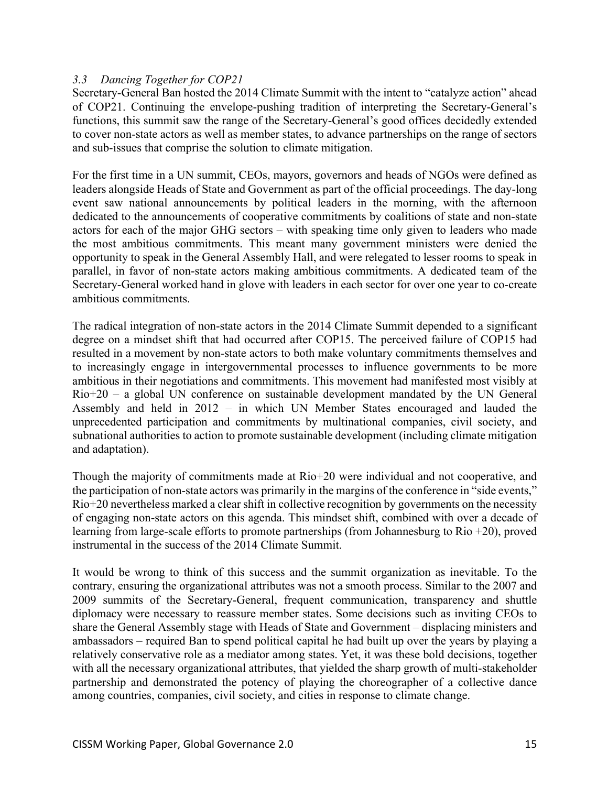#### *3.3 Dancing Together for COP21*

Secretary-General Ban hosted the 2014 Climate Summit with the intent to "catalyze action" ahead of COP21. Continuing the envelope-pushing tradition of interpreting the Secretary-General's functions, this summit saw the range of the Secretary-General's good offices decidedly extended to cover non-state actors as well as member states, to advance partnerships on the range of sectors and sub-issues that comprise the solution to climate mitigation.

For the first time in a UN summit, CEOs, mayors, governors and heads of NGOs were defined as leaders alongside Heads of State and Government as part of the official proceedings. The day-long event saw national announcements by political leaders in the morning, with the afternoon dedicated to the announcements of cooperative commitments by coalitions of state and non-state actors for each of the major GHG sectors – with speaking time only given to leaders who made the most ambitious commitments. This meant many government ministers were denied the opportunity to speak in the General Assembly Hall, and were relegated to lesser rooms to speak in parallel, in favor of non-state actors making ambitious commitments. A dedicated team of the Secretary-General worked hand in glove with leaders in each sector for over one year to co-create ambitious commitments.

The radical integration of non-state actors in the 2014 Climate Summit depended to a significant degree on a mindset shift that had occurred after COP15. The perceived failure of COP15 had resulted in a movement by non-state actors to both make voluntary commitments themselves and to increasingly engage in intergovernmental processes to influence governments to be more ambitious in their negotiations and commitments. This movement had manifested most visibly at Rio+20 – a global UN conference on sustainable development mandated by the UN General Assembly and held in 2012 – in which UN Member States encouraged and lauded the unprecedented participation and commitments by multinational companies, civil society, and subnational authorities to action to promote sustainable development (including climate mitigation and adaptation).

Though the majority of commitments made at Rio+20 were individual and not cooperative, and the participation of non-state actors was primarily in the margins of the conference in "side events," Rio+20 nevertheless marked a clear shift in collective recognition by governments on the necessity of engaging non-state actors on this agenda. This mindset shift, combined with over a decade of learning from large-scale efforts to promote partnerships (from Johannesburg to Rio +20), proved instrumental in the success of the 2014 Climate Summit.

It would be wrong to think of this success and the summit organization as inevitable. To the contrary, ensuring the organizational attributes was not a smooth process. Similar to the 2007 and 2009 summits of the Secretary-General, frequent communication, transparency and shuttle diplomacy were necessary to reassure member states. Some decisions such as inviting CEOs to share the General Assembly stage with Heads of State and Government – displacing ministers and ambassadors – required Ban to spend political capital he had built up over the years by playing a relatively conservative role as a mediator among states. Yet, it was these bold decisions, together with all the necessary organizational attributes, that yielded the sharp growth of multi-stakeholder partnership and demonstrated the potency of playing the choreographer of a collective dance among countries, companies, civil society, and cities in response to climate change.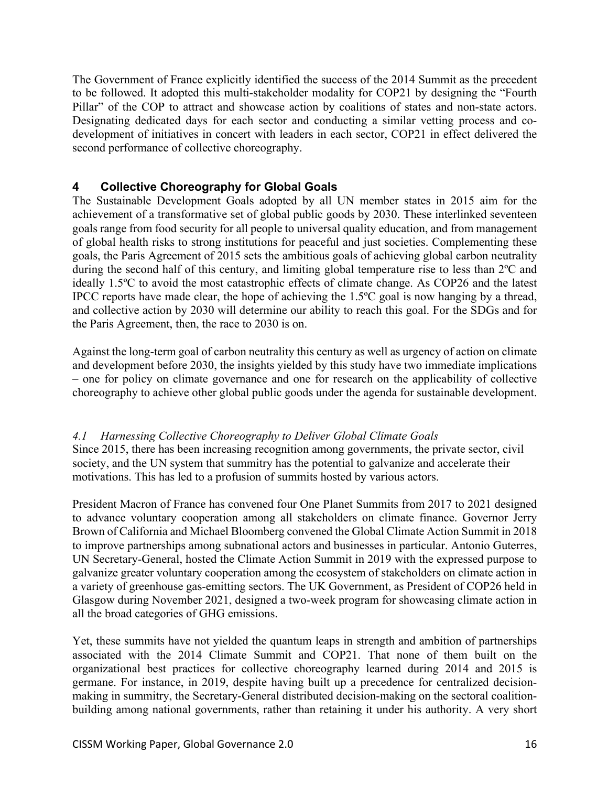The Government of France explicitly identified the success of the 2014 Summit as the precedent to be followed. It adopted this multi-stakeholder modality for COP21 by designing the "Fourth Pillar" of the COP to attract and showcase action by coalitions of states and non-state actors. Designating dedicated days for each sector and conducting a similar vetting process and codevelopment of initiatives in concert with leaders in each sector, COP21 in effect delivered the second performance of collective choreography.

# **4 Collective Choreography for Global Goals**

The Sustainable Development Goals adopted by all UN member states in 2015 aim for the achievement of a transformative set of global public goods by 2030. These interlinked seventeen goals range from food security for all people to universal quality education, and from management of global health risks to strong institutions for peaceful and just societies. Complementing these goals, the Paris Agreement of 2015 sets the ambitious goals of achieving global carbon neutrality during the second half of this century, and limiting global temperature rise to less than 2ºC and ideally 1.5ºC to avoid the most catastrophic effects of climate change. As COP26 and the latest IPCC reports have made clear, the hope of achieving the 1.5ºC goal is now hanging by a thread, and collective action by 2030 will determine our ability to reach this goal. For the SDGs and for the Paris Agreement, then, the race to 2030 is on.

Against the long-term goal of carbon neutrality this century as well as urgency of action on climate and development before 2030, the insights yielded by this study have two immediate implications – one for policy on climate governance and one for research on the applicability of collective choreography to achieve other global public goods under the agenda for sustainable development.

# *4.1 Harnessing Collective Choreography to Deliver Global Climate Goals*

Since 2015, there has been increasing recognition among governments, the private sector, civil society, and the UN system that summitry has the potential to galvanize and accelerate their motivations. This has led to a profusion of summits hosted by various actors.

President Macron of France has convened four One Planet Summits from 2017 to 2021 designed to advance voluntary cooperation among all stakeholders on climate finance. Governor Jerry Brown of California and Michael Bloomberg convened the Global Climate Action Summit in 2018 to improve partnerships among subnational actors and businesses in particular. Antonio Guterres, UN Secretary-General, hosted the Climate Action Summit in 2019 with the expressed purpose to galvanize greater voluntary cooperation among the ecosystem of stakeholders on climate action in a variety of greenhouse gas-emitting sectors. The UK Government, as President of COP26 held in Glasgow during November 2021, designed a two-week program for showcasing climate action in all the broad categories of GHG emissions.

Yet, these summits have not yielded the quantum leaps in strength and ambition of partnerships associated with the 2014 Climate Summit and COP21. That none of them built on the organizational best practices for collective choreography learned during 2014 and 2015 is germane. For instance, in 2019, despite having built up a precedence for centralized decisionmaking in summitry, the Secretary-General distributed decision-making on the sectoral coalitionbuilding among national governments, rather than retaining it under his authority. A very short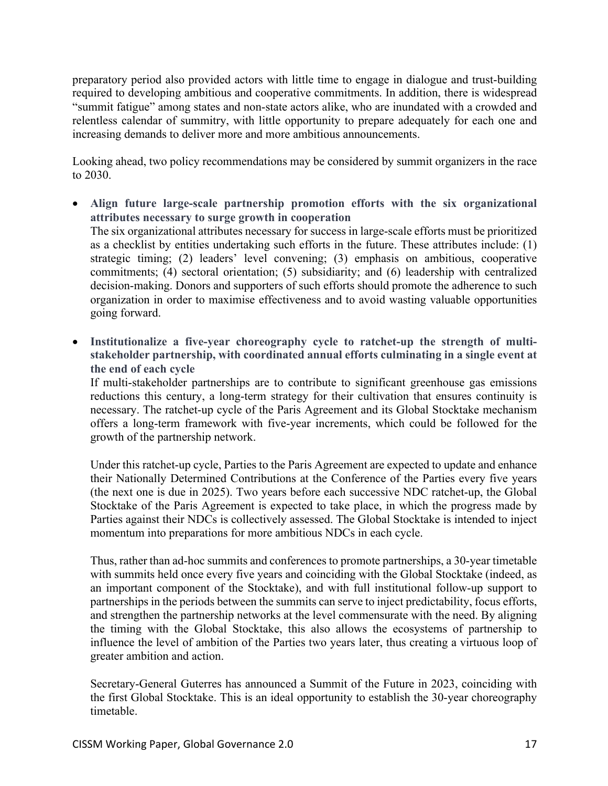preparatory period also provided actors with little time to engage in dialogue and trust-building required to developing ambitious and cooperative commitments. In addition, there is widespread "summit fatigue" among states and non-state actors alike, who are inundated with a crowded and relentless calendar of summitry, with little opportunity to prepare adequately for each one and increasing demands to deliver more and more ambitious announcements.

Looking ahead, two policy recommendations may be considered by summit organizers in the race to 2030.

- **Align future large-scale partnership promotion efforts with the six organizational attributes necessary to surge growth in cooperation**  The six organizational attributes necessary for success in large-scale efforts must be prioritized as a checklist by entities undertaking such efforts in the future. These attributes include: (1) strategic timing; (2) leaders' level convening; (3) emphasis on ambitious, cooperative commitments; (4) sectoral orientation; (5) subsidiarity; and (6) leadership with centralized decision-making. Donors and supporters of such efforts should promote the adherence to such organization in order to maximise effectiveness and to avoid wasting valuable opportunities going forward.
- **Institutionalize a five-year choreography cycle to ratchet-up the strength of multistakeholder partnership, with coordinated annual efforts culminating in a single event at the end of each cycle**

If multi-stakeholder partnerships are to contribute to significant greenhouse gas emissions reductions this century, a long-term strategy for their cultivation that ensures continuity is necessary. The ratchet-up cycle of the Paris Agreement and its Global Stocktake mechanism offers a long-term framework with five-year increments, which could be followed for the growth of the partnership network.

Under this ratchet-up cycle, Parties to the Paris Agreement are expected to update and enhance their Nationally Determined Contributions at the Conference of the Parties every five years (the next one is due in 2025). Two years before each successive NDC ratchet-up, the Global Stocktake of the Paris Agreement is expected to take place, in which the progress made by Parties against their NDCs is collectively assessed. The Global Stocktake is intended to inject momentum into preparations for more ambitious NDCs in each cycle.

Thus, rather than ad-hoc summits and conferences to promote partnerships, a 30-year timetable with summits held once every five years and coinciding with the Global Stocktake (indeed, as an important component of the Stocktake), and with full institutional follow-up support to partnerships in the periods between the summits can serve to inject predictability, focus efforts, and strengthen the partnership networks at the level commensurate with the need. By aligning the timing with the Global Stocktake, this also allows the ecosystems of partnership to influence the level of ambition of the Parties two years later, thus creating a virtuous loop of greater ambition and action.

Secretary-General Guterres has announced a Summit of the Future in 2023, coinciding with the first Global Stocktake. This is an ideal opportunity to establish the 30-year choreography timetable.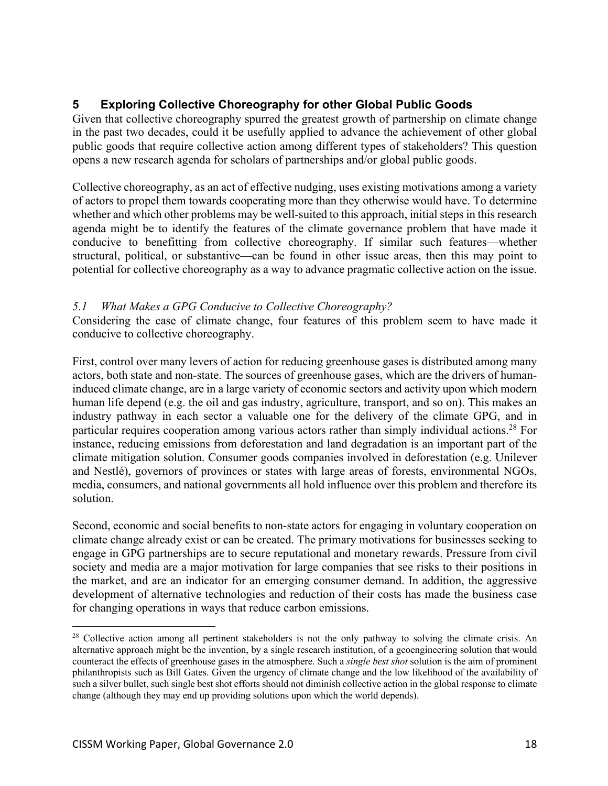# **5 Exploring Collective Choreography for other Global Public Goods**

Given that collective choreography spurred the greatest growth of partnership on climate change in the past two decades, could it be usefully applied to advance the achievement of other global public goods that require collective action among different types of stakeholders? This question opens a new research agenda for scholars of partnerships and/or global public goods.

Collective choreography, as an act of effective nudging, uses existing motivations among a variety of actors to propel them towards cooperating more than they otherwise would have. To determine whether and which other problems may be well-suited to this approach, initial steps in this research agenda might be to identify the features of the climate governance problem that have made it conducive to benefitting from collective choreography. If similar such features—whether structural, political, or substantive—can be found in other issue areas, then this may point to potential for collective choreography as a way to advance pragmatic collective action on the issue.

# *5.1 What Makes a GPG Conducive to Collective Choreography?*

Considering the case of climate change, four features of this problem seem to have made it conducive to collective choreography.

First, control over many levers of action for reducing greenhouse gases is distributed among many actors, both state and non-state. The sources of greenhouse gases, which are the drivers of humaninduced climate change, are in a large variety of economic sectors and activity upon which modern human life depend (e.g. the oil and gas industry, agriculture, transport, and so on). This makes an industry pathway in each sector a valuable one for the delivery of the climate GPG, and in particular requires cooperation among various actors rather than simply individual actions.<sup>28</sup> For instance, reducing emissions from deforestation and land degradation is an important part of the climate mitigation solution. Consumer goods companies involved in deforestation (e.g. Unilever and Nestlé), governors of provinces or states with large areas of forests, environmental NGOs, media, consumers, and national governments all hold influence over this problem and therefore its solution.

Second, economic and social benefits to non-state actors for engaging in voluntary cooperation on climate change already exist or can be created. The primary motivations for businesses seeking to engage in GPG partnerships are to secure reputational and monetary rewards. Pressure from civil society and media are a major motivation for large companies that see risks to their positions in the market, and are an indicator for an emerging consumer demand. In addition, the aggressive development of alternative technologies and reduction of their costs has made the business case for changing operations in ways that reduce carbon emissions.

<sup>&</sup>lt;sup>28</sup> Collective action among all pertinent stakeholders is not the only pathway to solving the climate crisis. An alternative approach might be the invention, by a single research institution, of a geoengineering solution that would counteract the effects of greenhouse gases in the atmosphere. Such a *single best shot* solution is the aim of prominent philanthropists such as Bill Gates. Given the urgency of climate change and the low likelihood of the availability of such a silver bullet, such single best shot efforts should not diminish collective action in the global response to climate change (although they may end up providing solutions upon which the world depends).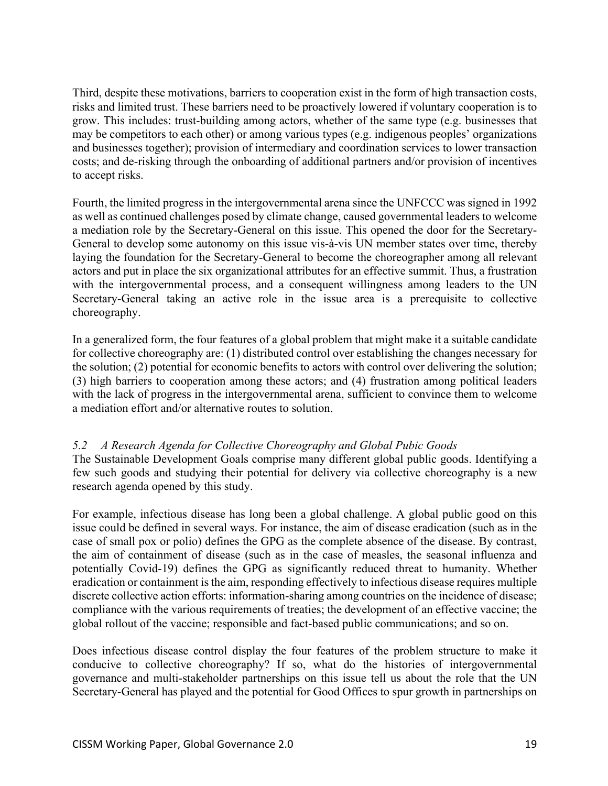Third, despite these motivations, barriers to cooperation exist in the form of high transaction costs, risks and limited trust. These barriers need to be proactively lowered if voluntary cooperation is to grow. This includes: trust-building among actors, whether of the same type (e.g. businesses that may be competitors to each other) or among various types (e.g. indigenous peoples' organizations and businesses together); provision of intermediary and coordination services to lower transaction costs; and de-risking through the onboarding of additional partners and/or provision of incentives to accept risks.

Fourth, the limited progress in the intergovernmental arena since the UNFCCC was signed in 1992 as well as continued challenges posed by climate change, caused governmental leaders to welcome a mediation role by the Secretary-General on this issue. This opened the door for the Secretary-General to develop some autonomy on this issue vis-à-vis UN member states over time, thereby laying the foundation for the Secretary-General to become the choreographer among all relevant actors and put in place the six organizational attributes for an effective summit. Thus, a frustration with the intergovernmental process, and a consequent willingness among leaders to the UN Secretary-General taking an active role in the issue area is a prerequisite to collective choreography.

In a generalized form, the four features of a global problem that might make it a suitable candidate for collective choreography are: (1) distributed control over establishing the changes necessary for the solution; (2) potential for economic benefits to actors with control over delivering the solution; (3) high barriers to cooperation among these actors; and (4) frustration among political leaders with the lack of progress in the intergovernmental arena, sufficient to convince them to welcome a mediation effort and/or alternative routes to solution.

# *5.2 A Research Agenda for Collective Choreography and Global Pubic Goods*

The Sustainable Development Goals comprise many different global public goods. Identifying a few such goods and studying their potential for delivery via collective choreography is a new research agenda opened by this study.

For example, infectious disease has long been a global challenge. A global public good on this issue could be defined in several ways. For instance, the aim of disease eradication (such as in the case of small pox or polio) defines the GPG as the complete absence of the disease. By contrast, the aim of containment of disease (such as in the case of measles, the seasonal influenza and potentially Covid-19) defines the GPG as significantly reduced threat to humanity. Whether eradication or containment is the aim, responding effectively to infectious disease requires multiple discrete collective action efforts: information-sharing among countries on the incidence of disease; compliance with the various requirements of treaties; the development of an effective vaccine; the global rollout of the vaccine; responsible and fact-based public communications; and so on.

Does infectious disease control display the four features of the problem structure to make it conducive to collective choreography? If so, what do the histories of intergovernmental governance and multi-stakeholder partnerships on this issue tell us about the role that the UN Secretary-General has played and the potential for Good Offices to spur growth in partnerships on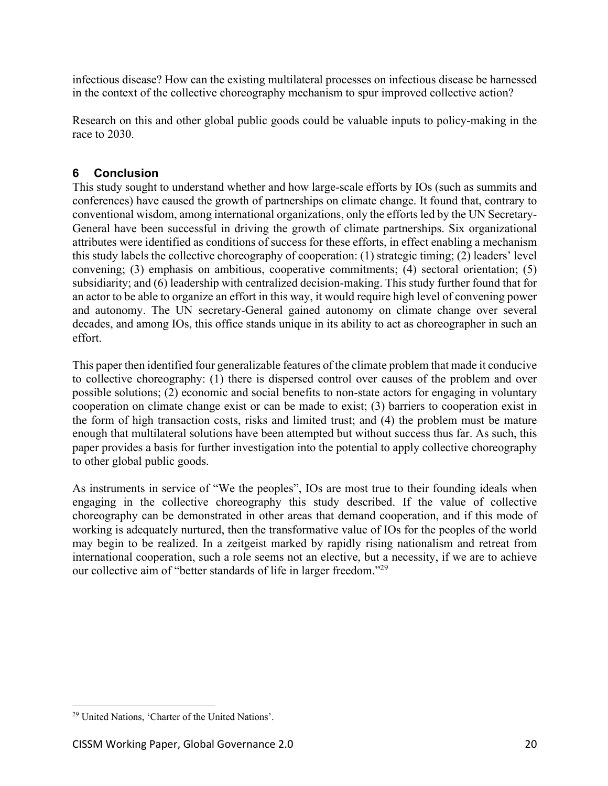infectious disease? How can the existing multilateral processes on infectious disease be harnessed in the context of the collective choreography mechanism to spur improved collective action?

Research on this and other global public goods could be valuable inputs to policy-making in the race to 2030.

# **6 Conclusion**

This study sought to understand whether and how large-scale efforts by IOs (such as summits and conferences) have caused the growth of partnerships on climate change. It found that, contrary to conventional wisdom, among international organizations, only the efforts led by the UN Secretary-General have been successful in driving the growth of climate partnerships. Six organizational attributes were identified as conditions of success for these efforts, in effect enabling a mechanism this study labels the collective choreography of cooperation: (1) strategic timing; (2) leaders' level convening; (3) emphasis on ambitious, cooperative commitments; (4) sectoral orientation; (5) subsidiarity; and (6) leadership with centralized decision-making. This study further found that for an actor to be able to organize an effort in this way, it would require high level of convening power and autonomy. The UN secretary-General gained autonomy on climate change over several decades, and among IOs, this office stands unique in its ability to act as choreographer in such an effort.

This paper then identified four generalizable features of the climate problem that made it conducive to collective choreography: (1) there is dispersed control over causes of the problem and over possible solutions; (2) economic and social benefits to non-state actors for engaging in voluntary cooperation on climate change exist or can be made to exist; (3) barriers to cooperation exist in the form of high transaction costs, risks and limited trust; and (4) the problem must be mature enough that multilateral solutions have been attempted but without success thus far. As such, this paper provides a basis for further investigation into the potential to apply collective choreography to other global public goods.

As instruments in service of "We the peoples", IOs are most true to their founding ideals when engaging in the collective choreography this study described. If the value of collective choreography can be demonstrated in other areas that demand cooperation, and if this mode of working is adequately nurtured, then the transformative value of IOs for the peoples of the world may begin to be realized. In a zeitgeist marked by rapidly rising nationalism and retreat from international cooperation, such a role seems not an elective, but a necessity, if we are to achieve our collective aim of "better standards of life in larger freedom."29

<sup>29</sup> United Nations, 'Charter of the United Nations'.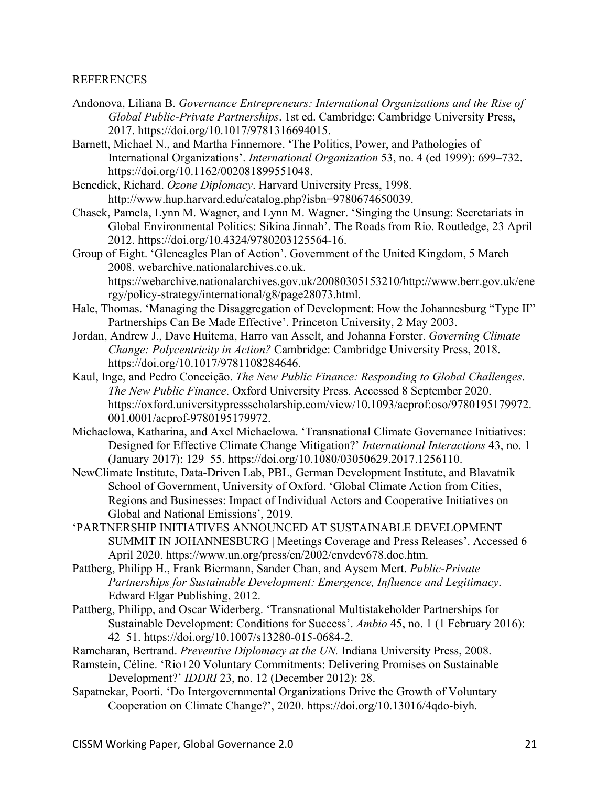#### **REFERENCES**

- Andonova, Liliana B. *Governance Entrepreneurs: International Organizations and the Rise of Global Public-Private Partnerships*. 1st ed. Cambridge: Cambridge University Press, 2017. https://doi.org/10.1017/9781316694015.
- Barnett, Michael N., and Martha Finnemore. 'The Politics, Power, and Pathologies of International Organizations'. *International Organization* 53, no. 4 (ed 1999): 699–732. https://doi.org/10.1162/002081899551048.
- Benedick, Richard. *Ozone Diplomacy*. Harvard University Press, 1998. http://www.hup.harvard.edu/catalog.php?isbn=9780674650039.
- Chasek, Pamela, Lynn M. Wagner, and Lynn M. Wagner. 'Singing the Unsung: Secretariats in Global Environmental Politics: Sikina Jinnah'. The Roads from Rio. Routledge, 23 April 2012. https://doi.org/10.4324/9780203125564-16.
- Group of Eight. 'Gleneagles Plan of Action'. Government of the United Kingdom, 5 March 2008. webarchive.nationalarchives.co.uk. https://webarchive.nationalarchives.gov.uk/20080305153210/http://www.berr.gov.uk/ene rgy/policy-strategy/international/g8/page28073.html.
- Hale, Thomas. 'Managing the Disaggregation of Development: How the Johannesburg "Type II" Partnerships Can Be Made Effective'. Princeton University, 2 May 2003.
- Jordan, Andrew J., Dave Huitema, Harro van Asselt, and Johanna Forster. *Governing Climate Change: Polycentricity in Action?* Cambridge: Cambridge University Press, 2018. https://doi.org/10.1017/9781108284646.
- Kaul, Inge, and Pedro Conceiçāo. *The New Public Finance: Responding to Global Challenges*. *The New Public Finance*. Oxford University Press. Accessed 8 September 2020. https://oxford.universitypressscholarship.com/view/10.1093/acprof:oso/9780195179972. 001.0001/acprof-9780195179972.
- Michaelowa, Katharina, and Axel Michaelowa. 'Transnational Climate Governance Initiatives: Designed for Effective Climate Change Mitigation?' *International Interactions* 43, no. 1 (January 2017): 129–55. https://doi.org/10.1080/03050629.2017.1256110.
- NewClimate Institute, Data-Driven Lab, PBL, German Development Institute, and Blavatnik School of Government, University of Oxford. 'Global Climate Action from Cities, Regions and Businesses: Impact of Individual Actors and Cooperative Initiatives on Global and National Emissions', 2019.
- 'PARTNERSHIP INITIATIVES ANNOUNCED AT SUSTAINABLE DEVELOPMENT SUMMIT IN JOHANNESBURG | Meetings Coverage and Press Releases'. Accessed 6 April 2020. https://www.un.org/press/en/2002/envdev678.doc.htm.
- Pattberg, Philipp H., Frank Biermann, Sander Chan, and Aysem Mert. *Public-Private Partnerships for Sustainable Development: Emergence, Influence and Legitimacy*. Edward Elgar Publishing, 2012.
- Pattberg, Philipp, and Oscar Widerberg. 'Transnational Multistakeholder Partnerships for Sustainable Development: Conditions for Success'. *Ambio* 45, no. 1 (1 February 2016): 42–51. https://doi.org/10.1007/s13280-015-0684-2.
- Ramcharan, Bertrand. *Preventive Diplomacy at the UN.* Indiana University Press, 2008.
- Ramstein, Céline. 'Rio+20 Voluntary Commitments: Delivering Promises on Sustainable Development?' *IDDRI* 23, no. 12 (December 2012): 28.
- Sapatnekar, Poorti. 'Do Intergovernmental Organizations Drive the Growth of Voluntary Cooperation on Climate Change?', 2020. https://doi.org/10.13016/4qdo-biyh.